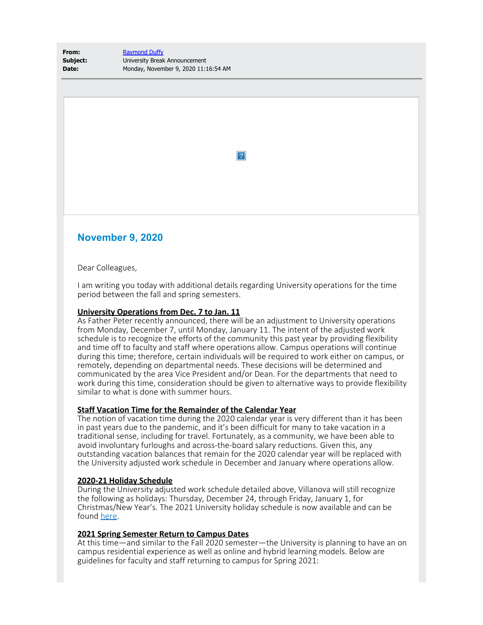**From:** [Raymond Duffy](mailto:raymond.duffy@villanova.edu) **Subject:** University Break Announcement **Date:** Monday, November 9, 2020 11:16:54 AM

 $\boxed{?}$ 

# **November 9, 2020**

Dear Colleagues,

I am writing you today with additional details regarding University operations for the time period between the fall and spring semesters.

### **University Operations from Dec. 7 to Jan. 11**

As Father Peter recently announced, there will be an adjustment to University operations from Monday, December 7, until Monday, January 11. The intent of the adjusted work schedule is to recognize the efforts of the community this past year by providing flexibility and time off to faculty and staff where operations allow. Campus operations will continue during this time; therefore, certain individuals will be required to work either on campus, or remotely, depending on departmental needs. These decisions will be determined and communicated by the area Vice President and/or Dean. For the departments that need to work during this time, consideration should be given to alternative ways to provide flexibility similar to what is done with summer hours.

## **Staff Vacation Time for the Remainder of the Calendar Year**

The notion of vacation time during the 2020 calendar year is very different than it has been in past years due to the pandemic, and it's been difficult for many to take vacation in a traditional sense, including for travel. Fortunately, as a community, we have been able to avoid involuntary furloughs and across-the-board salary reductions. Given this, any outstanding vacation balances that remain for the 2020 calendar year will be replaced with the University adjusted work schedule in December and January where operations allow.

#### **2020-21 Holiday Schedule**

During the University adjusted work schedule detailed above, Villanova will still recognize the following as holidays: Thursday, December 24, through Friday, January 1, for Christmas/New Year's. The 2021 University holiday schedule is now available and can be found [here](https://www1.villanova.edu/villanova/hr/benefits/family/timeoff/holidays.html).

## **2021 Spring Semester Return to Campus Dates**

At this time—and similar to the Fall 2020 semester—the University is planning to have an on campus residential experience as well as online and hybrid learning models. Below are guidelines for faculty and staff returning to campus for Spring 2021: